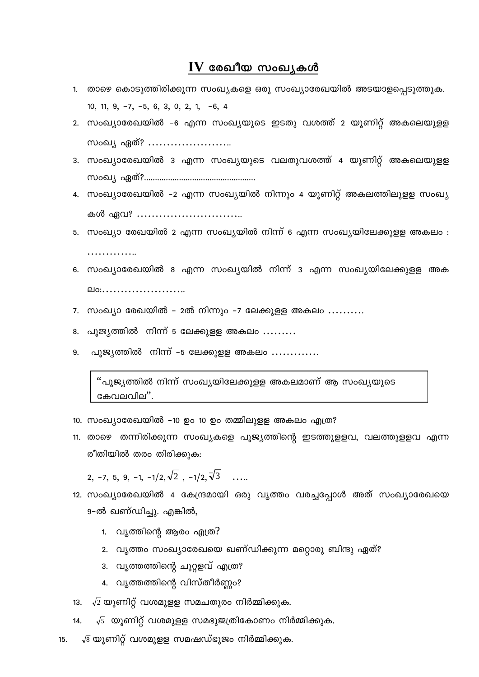## $IV$  രേഖീയ സംഖ്യകൾ

- 1. താഴെ കൊടുത്തിരിക്കുന്ന സംഖ്യകളെ ഒരു സംഖ്യാരേഖയിൽ അടയാളപ്പെടുത്തുക. 10, 11,  $9, -7, -5, 6, 3, 0, 2, 1, -6, 4$
- 2. സംഖ്യാരേഖയിൽ –6 എന്ന സംഖ്യയുടെ ഇടതു വശത്ത് 2 യുണിറ്റ് അകലെയുള്ള സംഖ്യ ഏത്? ………………….
- 3. സംഖ്യാരേഖയിൽ 3 എന്ന സംഖ്യയുടെ വലതുവശത്ത് 4 യൂണിറ്റ് അകലെയുളള kwJy GXv?...................................................
- 4. സംഖ്യാരേഖയിൽ –2 എന്ന സംഖ്യയിൽ നിന്നും 4 യൂണിറ്റ് അകലത്തിലുളള സംഖ്യ കൾ ഏവ? …………………………
- 5. സംഖ്യാ രേഖയിൽ 2 എന്ന സംഖ്യയിൽ നിന്ന് 6 എന്ന സംഖ്യയിലേക്കുളള അകലം :
- 6. സംഖ്യാരേഖയിൽ 8 എന്ന സംഖ്യയിൽ നിന്ന് 3 എന്ന സംഖ്യയിലേക്കുള്ള അക **elo:....................**...
- $7.$  സംഖ്യാ രേഖയിൽ  $2$ ൽ നിന്നും –7 ലേക്കുളള അകലം  $\ldots\ldots\ldots$
- $8.$  പൂജ്യത്തിൽ നിന്ന് 5 ലേക്കുളള അകലം  $\ldots \ldots \ldots$

……………

 $9.$  പൂജ്യത്തിൽ നിന്ന് –5 ലേക്കുളള അകലം  $\ldots \ldots \ldots$ 

് പൂജ്യത്തിൽ നിന്ന് സംഖ്യയിലേക്കുളള അകലമാണ് ആ സംഖ്യയുടെ കേവലവില".

- 10. സംഖ്യാരേഖയിൽ -10 ഉം 10 ഉം തമ്മിലുളള അകലം എത്ര?
- 11. താഴെ തന്നിരിക്കുന്ന സംഖ്യകളെ പൂജ്യത്തിന്റെ ഇടത്തുളളവ, വലത്തുളളവ എന്ന രീതിയിൽ തരം തിരിക്കുക:

2, −7, 5, 9, −1, −1/2, $\sqrt{2}$ , −1/2, $\sqrt{3}$  …..

- 12. സംഖ്യാരേഖയിൽ 4 കേന്ദ്രമായി ഒരു വൃത്തം വരച്ചപ്പോൾ അത് സംഖ്യാരേഖയെ 9-ൽ ഖണ്ഡിച്ചു. എങ്കിൽ,
	- 1.  $\alpha$ ്യത്തിന്റെ ആരം എത്ര $?$
	- 2. വൃത്തം സംഖ്യാരേഖയെ ഖണ്ഡിക്കുന്ന മറ്റൊരു ബിന്ദു ഏത്?
	- 3. വൃത്തത്തിന്റെ ചുറ്റളവ് എത്ര?
	- 4. വൃത്തത്തിന്റെ വിസ്തീർണ്ണം?
- 13.  $\sqrt{2}$  യൂണിറ്റ് വശമുളള സമചതുരം നിർമ്മിക്കുക.
- 14.  $\sqrt{5}$  യൂണിറ്റ് വശമുള്ള സമഭുജത്രികോണം നിർമ്മിക്കുക.
- 15.  $\sqrt{8}$  യൂണിറ്റ് വശമുളള സമഷഡ്ഭുജം നിർമ്മിക്കുക.